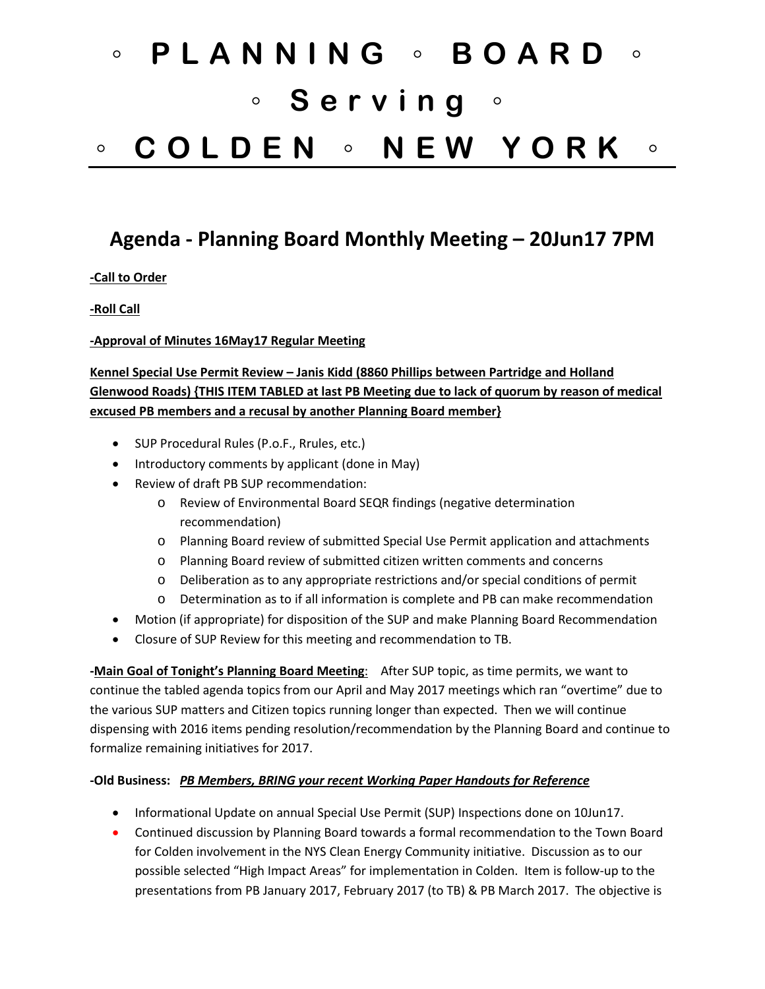# ◦ **PLANNING** ◦ **BOARD** ◦ ◦ **Serving** ◦ ◦ **COLDEN** ◦ **NEW YORK** ◦

## **Agenda - Planning Board Monthly Meeting – 20Jun17 7PM**

**-Call to Order**

**-Roll Call**

**-Approval of Minutes 16May17 Regular Meeting**

### **Kennel Special Use Permit Review – Janis Kidd (8860 Phillips between Partridge and Holland Glenwood Roads) {THIS ITEM TABLED at last PB Meeting due to lack of quorum by reason of medical excused PB members and a recusal by another Planning Board member}**

- SUP Procedural Rules (P.o.F., Rrules, etc.)
- Introductory comments by applicant (done in May)
- Review of draft PB SUP recommendation:
	- o Review of Environmental Board SEQR findings (negative determination recommendation)
	- o Planning Board review of submitted Special Use Permit application and attachments
	- o Planning Board review of submitted citizen written comments and concerns
	- o Deliberation as to any appropriate restrictions and/or special conditions of permit
	- o Determination as to if all information is complete and PB can make recommendation
- Motion (if appropriate) for disposition of the SUP and make Planning Board Recommendation
- Closure of SUP Review for this meeting and recommendation to TB.

**-Main Goal of Tonight's Planning Board Meeting**: After SUP topic, as time permits, we want to continue the tabled agenda topics from our April and May 2017 meetings which ran "overtime" due to the various SUP matters and Citizen topics running longer than expected. Then we will continue dispensing with 2016 items pending resolution/recommendation by the Planning Board and continue to formalize remaining initiatives for 2017.

#### **-Old Business:** *PB Members, BRING your recent Working Paper Handouts for Reference*

- Informational Update on annual Special Use Permit (SUP) Inspections done on 10Jun17.
- Continued discussion by Planning Board towards a formal recommendation to the Town Board for Colden involvement in the NYS Clean Energy Community initiative. Discussion as to our possible selected "High Impact Areas" for implementation in Colden. Item is follow-up to the presentations from PB January 2017, February 2017 (to TB) & PB March 2017. The objective is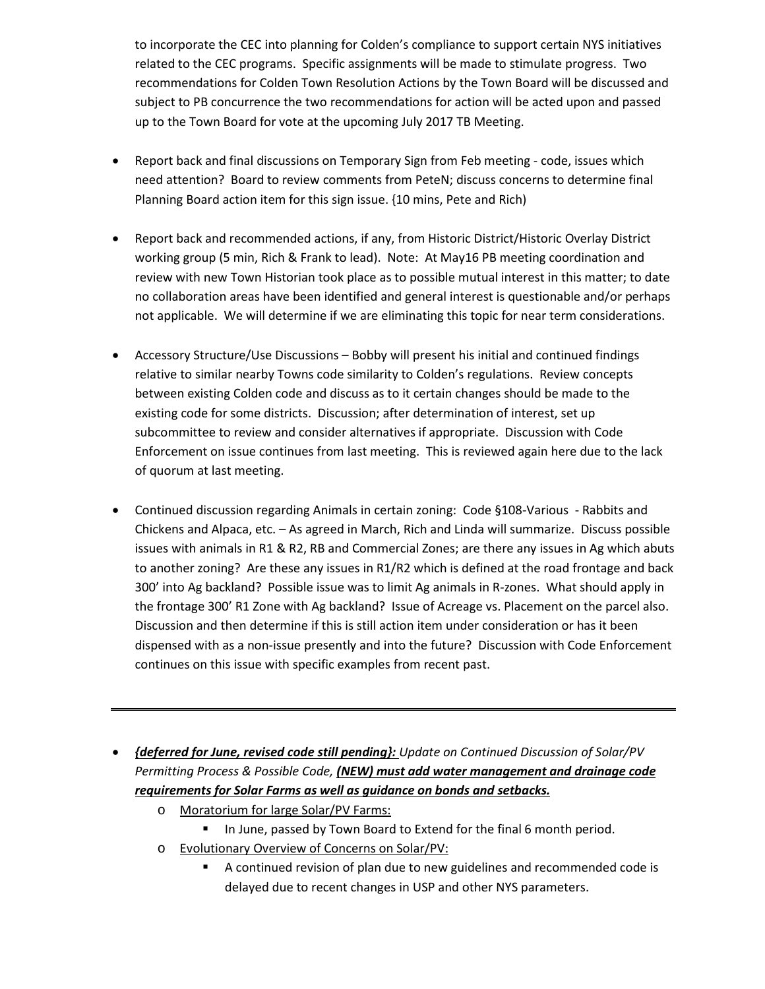to incorporate the CEC into planning for Colden's compliance to support certain NYS initiatives related to the CEC programs.Specific assignments will be made to stimulate progress. Two recommendations for Colden Town Resolution Actions by the Town Board will be discussed and subject to PB concurrence the two recommendations for action will be acted upon and passed up to the Town Board for vote at the upcoming July 2017 TB Meeting.

- Report back and final discussions on Temporary Sign from Feb meeting code, issues which need attention? Board to review comments from PeteN; discuss concerns to determine final Planning Board action item for this sign issue. {10 mins, Pete and Rich)
- Report back and recommended actions, if any, from Historic District/Historic Overlay District working group (5 min, Rich & Frank to lead). Note: At May16 PB meeting coordination and review with new Town Historian took place as to possible mutual interest in this matter; to date no collaboration areas have been identified and general interest is questionable and/or perhaps not applicable. We will determine if we are eliminating this topic for near term considerations.
- Accessory Structure/Use Discussions Bobby will present his initial and continued findings relative to similar nearby Towns code similarity to Colden's regulations. Review concepts between existing Colden code and discuss as to it certain changes should be made to the existing code for some districts. Discussion; after determination of interest, set up subcommittee to review and consider alternatives if appropriate. Discussion with Code Enforcement on issue continues from last meeting. This is reviewed again here due to the lack of quorum at last meeting.
- Continued discussion regarding Animals in certain zoning: Code §108-Various Rabbits and Chickens and Alpaca, etc. – As agreed in March, Rich and Linda will summarize. Discuss possible issues with animals in R1 & R2, RB and Commercial Zones; are there any issues in Ag which abuts to another zoning? Are these any issues in R1/R2 which is defined at the road frontage and back 300' into Ag backland? Possible issue was to limit Ag animals in R-zones. What should apply in the frontage 300' R1 Zone with Ag backland? Issue of Acreage vs. Placement on the parcel also. Discussion and then determine if this is still action item under consideration or has it been dispensed with as a non-issue presently and into the future? Discussion with Code Enforcement continues on this issue with specific examples from recent past.
- *{deferred for June, revised code still pending}: Update on Continued Discussion of Solar/PV Permitting Process & Possible Code, (NEW) must add water management and drainage code requirements for Solar Farms as well as guidance on bonds and setbacks.*
	- o Moratorium for large Solar/PV Farms:
		- In June, passed by Town Board to Extend for the final 6 month period.
	- o Evolutionary Overview of Concerns on Solar/PV:
		- A continued revision of plan due to new guidelines and recommended code is delayed due to recent changes in USP and other NYS parameters.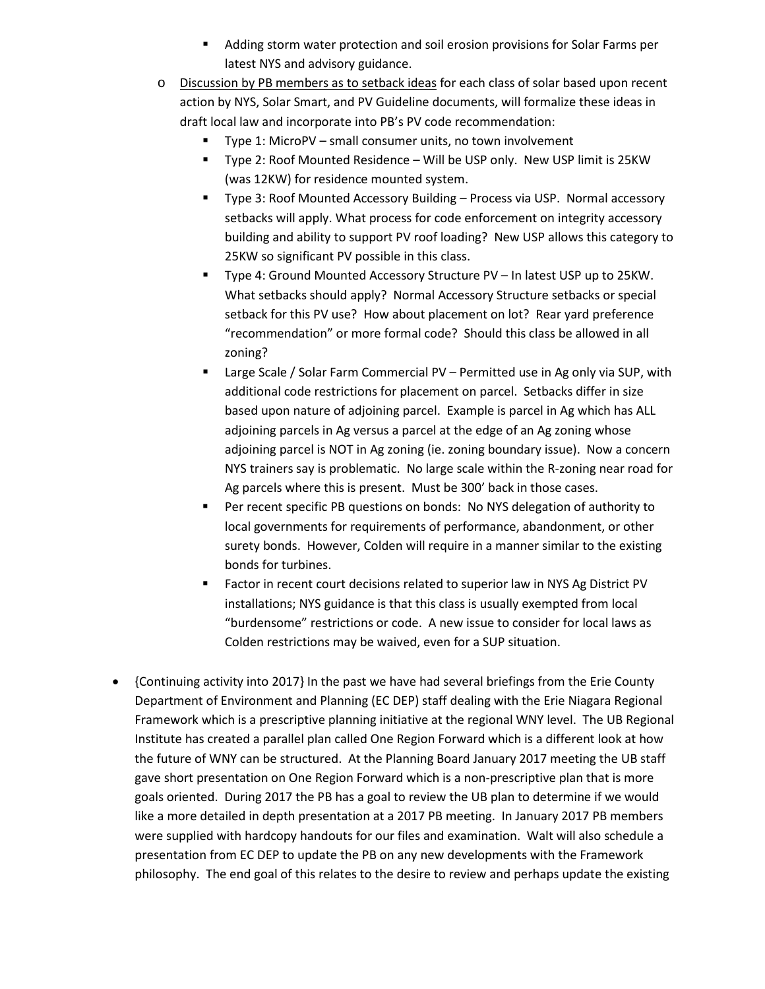- Adding storm water protection and soil erosion provisions for Solar Farms per latest NYS and advisory guidance.
- o Discussion by PB members as to setback ideas for each class of solar based upon recent action by NYS, Solar Smart, and PV Guideline documents, will formalize these ideas in draft local law and incorporate into PB's PV code recommendation:
	- Type 1: MicroPV small consumer units, no town involvement
	- Type 2: Roof Mounted Residence Will be USP only. New USP limit is 25KW (was 12KW) for residence mounted system.
	- Type 3: Roof Mounted Accessory Building Process via USP. Normal accessory setbacks will apply. What process for code enforcement on integrity accessory building and ability to support PV roof loading? New USP allows this category to 25KW so significant PV possible in this class.
	- Type 4: Ground Mounted Accessory Structure PV In latest USP up to 25KW. What setbacks should apply? Normal Accessory Structure setbacks or special setback for this PV use? How about placement on lot? Rear yard preference "recommendation" or more formal code? Should this class be allowed in all zoning?
	- Large Scale / Solar Farm Commercial PV Permitted use in Ag only via SUP, with additional code restrictions for placement on parcel. Setbacks differ in size based upon nature of adjoining parcel. Example is parcel in Ag which has ALL adjoining parcels in Ag versus a parcel at the edge of an Ag zoning whose adjoining parcel is NOT in Ag zoning (ie. zoning boundary issue). Now a concern NYS trainers say is problematic. No large scale within the R-zoning near road for Ag parcels where this is present. Must be 300' back in those cases.
	- **Per recent specific PB questions on bonds: No NYS delegation of authority to** local governments for requirements of performance, abandonment, or other surety bonds. However, Colden will require in a manner similar to the existing bonds for turbines.
	- **Factor in recent court decisions related to superior law in NYS Ag District PV** installations; NYS guidance is that this class is usually exempted from local "burdensome" restrictions or code. A new issue to consider for local laws as Colden restrictions may be waived, even for a SUP situation.
- {Continuing activity into 2017} In the past we have had several briefings from the Erie County Department of Environment and Planning (EC DEP) staff dealing with the Erie Niagara Regional Framework which is a prescriptive planning initiative at the regional WNY level. The UB Regional Institute has created a parallel plan called One Region Forward which is a different look at how the future of WNY can be structured. At the Planning Board January 2017 meeting the UB staff gave short presentation on One Region Forward which is a non-prescriptive plan that is more goals oriented. During 2017 the PB has a goal to review the UB plan to determine if we would like a more detailed in depth presentation at a 2017 PB meeting. In January 2017 PB members were supplied with hardcopy handouts for our files and examination. Walt will also schedule a presentation from EC DEP to update the PB on any new developments with the Framework philosophy. The end goal of this relates to the desire to review and perhaps update the existing